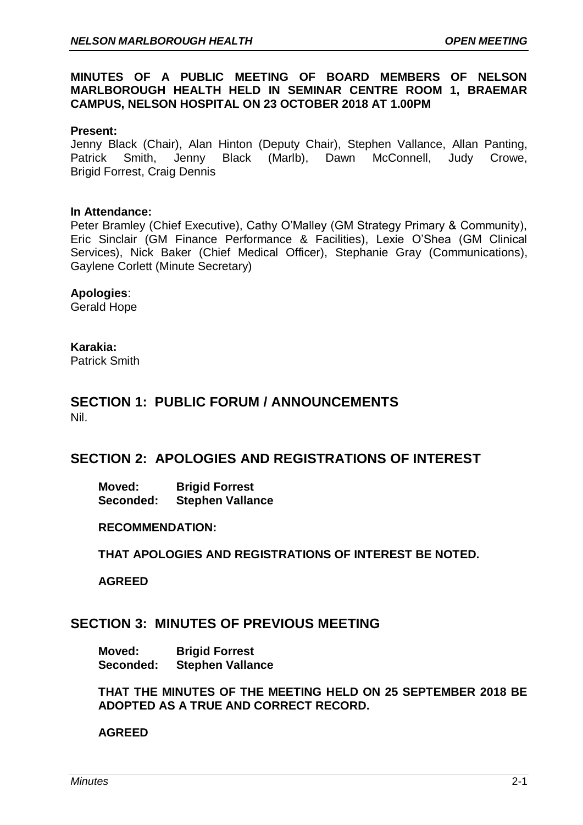## **MINUTES OF A PUBLIC MEETING OF BOARD MEMBERS OF NELSON MARLBOROUGH HEALTH HELD IN SEMINAR CENTRE ROOM 1, BRAEMAR CAMPUS, NELSON HOSPITAL ON 23 OCTOBER 2018 AT 1.00PM**

#### **Present:**

Jenny Black (Chair), Alan Hinton (Deputy Chair), Stephen Vallance, Allan Panting, Patrick Smith, Jenny Black (Marlb), Dawn McConnell, Judy Crowe, Brigid Forrest, Craig Dennis

#### **In Attendance:**

Peter Bramley (Chief Executive), Cathy O'Malley (GM Strategy Primary & Community), Eric Sinclair (GM Finance Performance & Facilities), Lexie O'Shea (GM Clinical Services), Nick Baker (Chief Medical Officer), Stephanie Gray (Communications), Gaylene Corlett (Minute Secretary)

#### **Apologies**:

Gerald Hope

## **Karakia:**

Patrick Smith

## **SECTION 1: PUBLIC FORUM / ANNOUNCEMENTS** Nil.

# **SECTION 2: APOLOGIES AND REGISTRATIONS OF INTEREST**

**Moved: Brigid Forrest Seconded: Stephen Vallance**

#### **RECOMMENDATION:**

**THAT APOLOGIES AND REGISTRATIONS OF INTEREST BE NOTED.**

**AGREED**

# **SECTION 3: MINUTES OF PREVIOUS MEETING**

**Moved: Brigid Forrest Seconded: Stephen Vallance**

**THAT THE MINUTES OF THE MEETING HELD ON 25 SEPTEMBER 2018 BE ADOPTED AS A TRUE AND CORRECT RECORD.**

## **AGREED**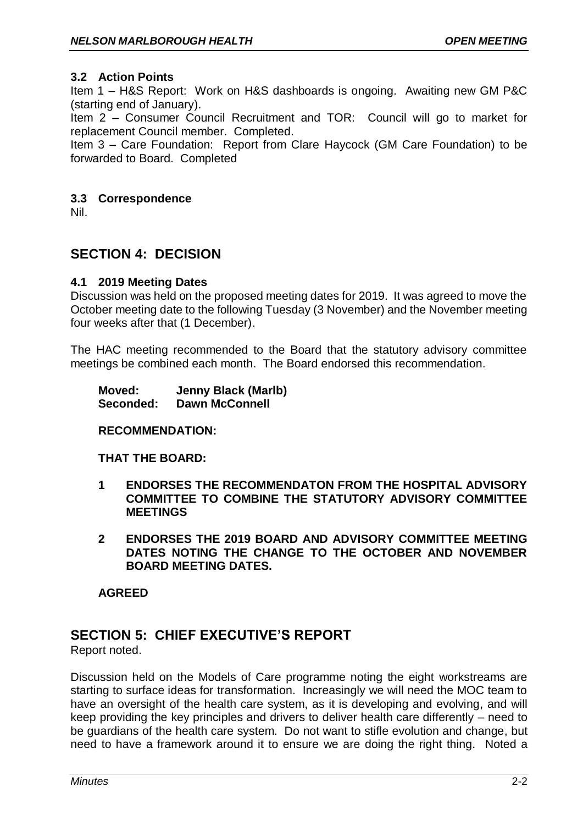## **3.2 Action Points**

Item 1 – H&S Report: Work on H&S dashboards is ongoing. Awaiting new GM P&C (starting end of January).

Item 2 – Consumer Council Recruitment and TOR: Council will go to market for replacement Council member. Completed.

Item 3 – Care Foundation: Report from Clare Haycock (GM Care Foundation) to be forwarded to Board. Completed

#### **3.3 Correspondence**

Nil.

# **SECTION 4: DECISION**

## **4.1 2019 Meeting Dates**

Discussion was held on the proposed meeting dates for 2019. It was agreed to move the October meeting date to the following Tuesday (3 November) and the November meeting four weeks after that (1 December).

The HAC meeting recommended to the Board that the statutory advisory committee meetings be combined each month. The Board endorsed this recommendation.

| Moved:    | <b>Jenny Black (Marlb)</b> |
|-----------|----------------------------|
| Seconded: | <b>Dawn McConnell</b>      |

#### **RECOMMENDATION:**

#### **THAT THE BOARD:**

- **1 ENDORSES THE RECOMMENDATON FROM THE HOSPITAL ADVISORY COMMITTEE TO COMBINE THE STATUTORY ADVISORY COMMITTEE MEETINGS**
- **2 ENDORSES THE 2019 BOARD AND ADVISORY COMMITTEE MEETING DATES NOTING THE CHANGE TO THE OCTOBER AND NOVEMBER BOARD MEETING DATES.**

**AGREED**

# **SECTION 5: CHIEF EXECUTIVE'S REPORT**

Report noted.

Discussion held on the Models of Care programme noting the eight workstreams are starting to surface ideas for transformation. Increasingly we will need the MOC team to have an oversight of the health care system, as it is developing and evolving, and will keep providing the key principles and drivers to deliver health care differently – need to be guardians of the health care system. Do not want to stifle evolution and change, but need to have a framework around it to ensure we are doing the right thing. Noted a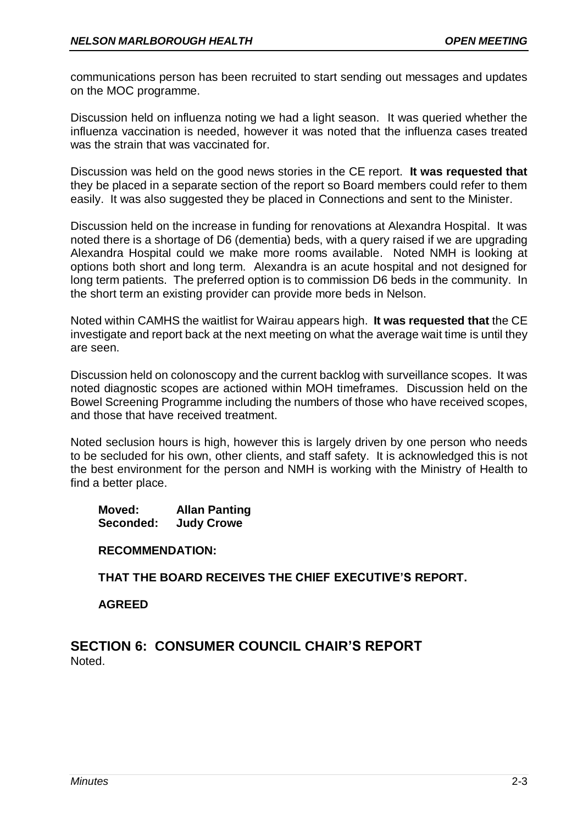communications person has been recruited to start sending out messages and updates on the MOC programme.

Discussion held on influenza noting we had a light season. It was queried whether the influenza vaccination is needed, however it was noted that the influenza cases treated was the strain that was vaccinated for.

Discussion was held on the good news stories in the CE report. **It was requested that** they be placed in a separate section of the report so Board members could refer to them easily. It was also suggested they be placed in Connections and sent to the Minister.

Discussion held on the increase in funding for renovations at Alexandra Hospital. It was noted there is a shortage of D6 (dementia) beds, with a query raised if we are upgrading Alexandra Hospital could we make more rooms available. Noted NMH is looking at options both short and long term. Alexandra is an acute hospital and not designed for long term patients. The preferred option is to commission D6 beds in the community. In the short term an existing provider can provide more beds in Nelson.

Noted within CAMHS the waitlist for Wairau appears high. **It was requested that** the CE investigate and report back at the next meeting on what the average wait time is until they are seen.

Discussion held on colonoscopy and the current backlog with surveillance scopes. It was noted diagnostic scopes are actioned within MOH timeframes. Discussion held on the Bowel Screening Programme including the numbers of those who have received scopes, and those that have received treatment.

Noted seclusion hours is high, however this is largely driven by one person who needs to be secluded for his own, other clients, and staff safety. It is acknowledged this is not the best environment for the person and NMH is working with the Ministry of Health to find a better place.

**Moved: Allan Panting Seconded: Judy Crowe**

**RECOMMENDATION:**

**THAT THE BOARD RECEIVES THE CHIEF EXECUTIVE'S REPORT.**

**AGREED**

**SECTION 6: CONSUMER COUNCIL CHAIR'S REPORT** Noted.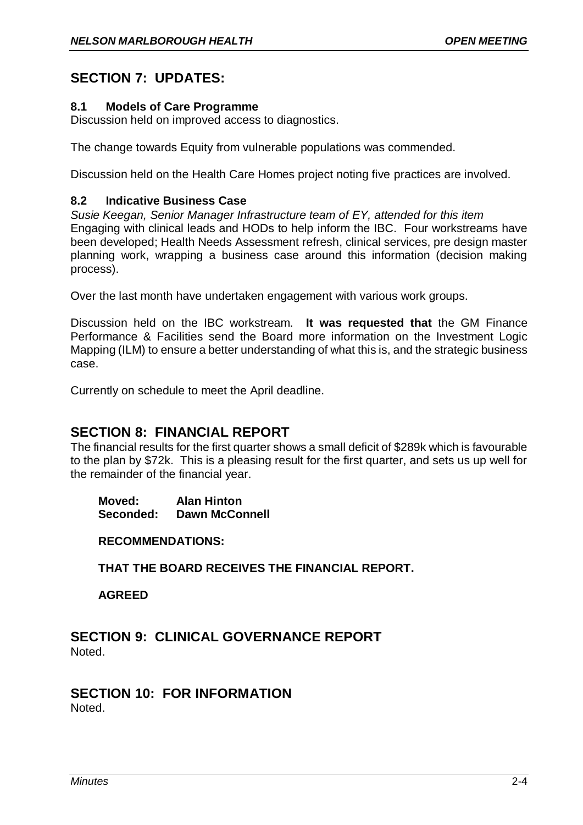# **SECTION 7: UPDATES:**

## **8.1 Models of Care Programme**

Discussion held on improved access to diagnostics.

The change towards Equity from vulnerable populations was commended.

Discussion held on the Health Care Homes project noting five practices are involved.

## **8.2 Indicative Business Case**

*Susie Keegan, Senior Manager Infrastructure team of EY, attended for this item* Engaging with clinical leads and HODs to help inform the IBC. Four workstreams have been developed; Health Needs Assessment refresh, clinical services, pre design master planning work, wrapping a business case around this information (decision making process).

Over the last month have undertaken engagement with various work groups.

Discussion held on the IBC workstream. **It was requested that** the GM Finance Performance & Facilities send the Board more information on the Investment Logic Mapping (ILM) to ensure a better understanding of what this is, and the strategic business case.

Currently on schedule to meet the April deadline.

# **SECTION 8: FINANCIAL REPORT**

The financial results for the first quarter shows a small deficit of \$289k which is favourable to the plan by \$72k. This is a pleasing result for the first quarter, and sets us up well for the remainder of the financial year.

**Moved: Alan Hinton Seconded: Dawn McConnell**

**RECOMMENDATIONS:**

**THAT THE BOARD RECEIVES THE FINANCIAL REPORT.**

**AGREED**

**SECTION 9: CLINICAL GOVERNANCE REPORT** Noted.

#### **SECTION 10: FOR INFORMATION Noted**